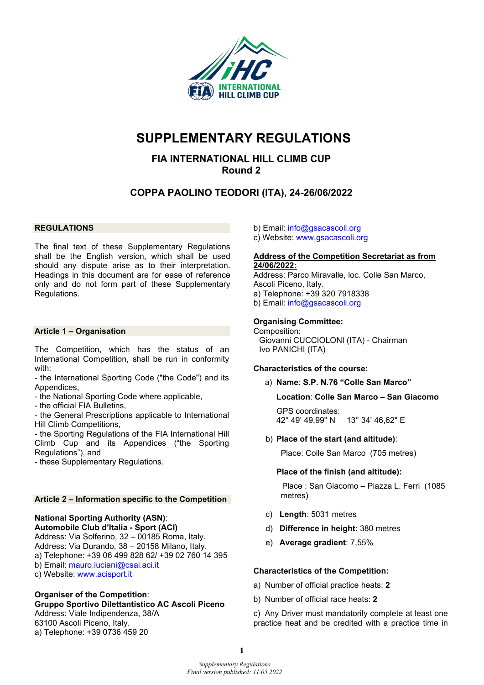

## **SUPPLEMENTARY REGULATIONS**

## **FIA INTERNATIONAL HILL CLIMB CUP Round 2**

## **COPPA PAOLINO TEODORI (ITA), 24-26/06/2022**

#### **REGULATIONS**

The final text of these Supplementary Regulations shall be the English version, which shall be used should any dispute arise as to their interpretation. Headings in this document are for ease of reference only and do not form part of these Supplementary Regulations.

#### **Article 1 – Organisation**

The Competition, which has the status of an International Competition, shall be run in conformity with:

- the International Sporting Code ("the Code") and its Appendices,

- the National Sporting Code where applicable,
- the official FIA Bulletins,

- the General Prescriptions applicable to International Hill Climb Competitions,

- the Sporting Regulations of the FIA International Hill Climb Cup and its Appendices ("the Sporting Regulations"), and

- these Supplementary Regulations.

#### **Article 2 – Information specific to the Competition**

#### **National Sporting Authority (ASN)**: **Automobile Club d'Italia - Sport (ACI)**

Address: Via Solferino, 32 – 00185 Roma, Italy. Address: Via Durando, 38 – 20158 Milano, Italy. a) Telephone: +39 06 499 828 62/ +39 02 760 14 395 b) Email: mauro.luciani@csai.aci.it c) Website: [www.acisport.it](http://www.acisport.it/)

#### **Organiser of the Competition**:

**Gruppo Sportivo Dilettantistico AC Ascoli Piceno** Address: Viale Indipendenza, 38/A

63100 Ascoli Piceno, Italy. a) Telephone: +39 0736 459 20

- b) Email: info@gsacascoli.org
- c) Website: www.gsacascoli.org

#### **Address of the Competition Secretariat as from 24/06/2022:**

Address: Parco Miravalle, loc. Colle San Marco, Ascoli Piceno, Italy. a) Telephone: +39 320 7918338 b) Email: [info@gsacascoli.org](mailto:info@gsacascoli.org)

#### **Organising Committee:**

Composition: Giovanni CUCCIOLONI (ITA) - Chairman Ivo PANICHI (ITA)

#### **Characteristics of the course:**

a) **Name**: **S.P. N.76 "Colle San Marco"**

**Location**: **Colle San Marco – San Giacomo**

GPS coordinates: 42° 49' 49,99" N 13° 34' 46,62" E

b) **Place of the start (and altitude)**:

Place: Colle San Marco (705 metres)

#### **Place of the finish (and altitude):**

Place : San Giacomo – Piazza L. Ferri (1085 metres)

- c) **Length**: 5031 metres
- d) **Difference in height**: 380 metres
- e) **Average gradient**: 7,55%

#### **Characteristics of the Competition:**

- a) Number of official practice heats: **2**
- b) Number of official race heats: **2**

c) Any Driver must mandatorily complete at least one practice heat and be credited with a practice time in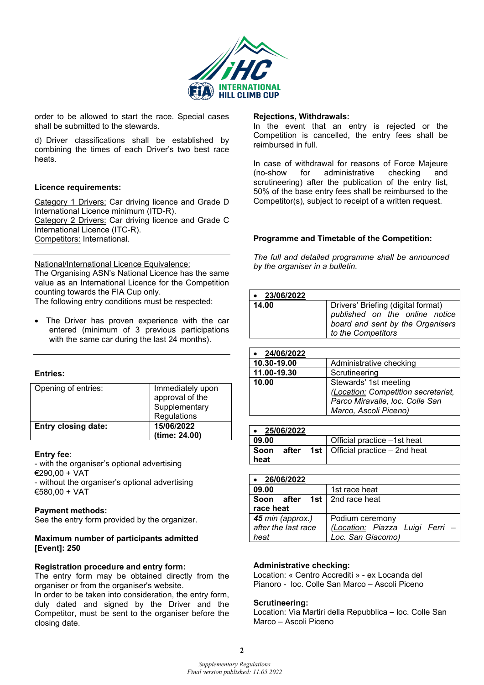

order to be allowed to start the race. Special cases shall be submitted to the stewards.

d) Driver classifications shall be established by combining the times of each Driver's two best race heats.

#### **Licence requirements:**

Category 1 Drivers: Car driving licence and Grade D International Licence minimum (ITD-R). Category 2 Drivers: Car driving licence and Grade C International Licence (ITC-R). Competitors: International.

National/International Licence Equivalence:

The Organising ASN's National Licence has the same value as an International Licence for the Competition counting towards the FIA Cup only.

The following entry conditions must be respected:

The Driver has proven experience with the car entered (minimum of 3 previous participations with the same car during the last 24 months).

#### **Entries:**

| Opening of entries:        | Immediately upon<br>approval of the<br>Supplementary<br>Regulations |
|----------------------------|---------------------------------------------------------------------|
| <b>Entry closing date:</b> | 15/06/2022<br>(time: 24.00)                                         |

#### **Entry fee**:

- with the organiser's optional advertising €290,00 + VAT - without the organiser's optional advertising €580,00 + VAT

#### **Payment methods:**

See the entry form provided by the organizer.

#### **Maximum number of participants admitted [Event]: 250**

#### **Registration procedure and entry form:**

The entry form may be obtained directly from the organiser or from the organiser's website.

In order to be taken into consideration, the entry form, duly dated and signed by the Driver and the Competitor, must be sent to the organiser before the closing date.

#### **Rejections, Withdrawals:**

In the event that an entry is rejected or the Competition is cancelled, the entry fees shall be reimbursed in full.

In case of withdrawal for reasons of Force Majeure<br>(no-show for administrative checking and (no-show for administrative checking and scrutineering) after the publication of the entry list, 50% of the base entry fees shall be reimbursed to the Competitor(s), subject to receipt of a written request.

#### **Programme and Timetable of the Competition:**

*The full and detailed programme shall be announced by the organiser in a bulletin.* 

| $\bullet$ 23/06/2022 |                                                                                                                                |
|----------------------|--------------------------------------------------------------------------------------------------------------------------------|
| 14.00                | Drivers' Briefing (digital format)<br>published on the online notice<br>board and sent by the Organisers<br>to the Competitors |

| 24/06/2022  |                                                                                                                          |
|-------------|--------------------------------------------------------------------------------------------------------------------------|
| 10.30-19.00 | Administrative checking                                                                                                  |
| 11.00-19.30 | Scrutineering                                                                                                            |
| 10.00       | Stewards' 1st meeting<br>(Location: Competition secretariat,<br>Parco Miravalle, loc. Colle San<br>Marco, Ascoli Piceno) |

| $\bullet$ 25/06/2022 |  |                                                   |
|----------------------|--|---------------------------------------------------|
| 09.00                |  | Official practice -1st heat                       |
| ⊩ Soon<br>heat       |  | <b>after</b> 1st   Official practice $-$ 2nd heat |

| 26/06/2022                            |                                 |
|---------------------------------------|---------------------------------|
| 09.00                                 | 1st race heat                   |
| <b>Soon after 1st</b>   2nd race heat |                                 |
| race heat                             |                                 |
| 45 min (approx.)                      | Podium ceremony                 |
| after the last race                   | (Location: Piazza Luigi Ferri - |
| heat                                  | Loc. San Giacomo)               |

#### **Administrative checking:**

Location: « Centro Accrediti » - ex Locanda del Pianoro - loc. Colle San Marco – Ascoli Piceno

#### **Scrutineering:**

Location: Via Martiri della Repubblica – loc. Colle San Marco – Ascoli Piceno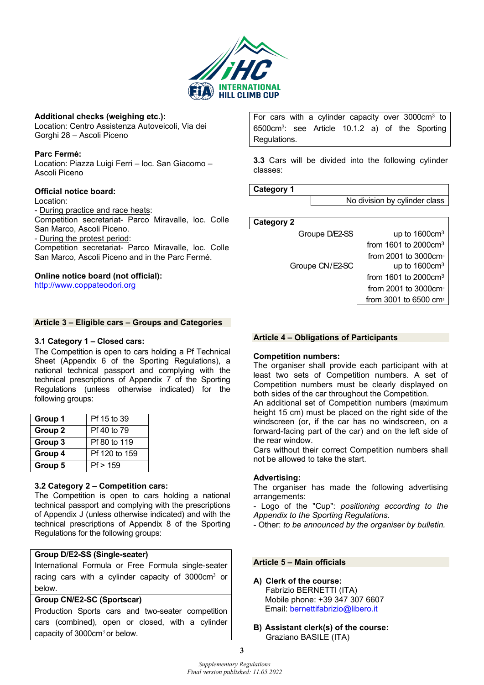

#### **Additional checks (weighing etc.):**

Location: Centro Assistenza Autoveicoli, Via dei Gorghi 28 – Ascoli Piceno

#### **Parc Fermé:**

Location: Piazza Luigi Ferri – loc. San Giacomo – Ascoli Piceno

#### **Official notice board:**

Location:

- During practice and race heats:

Competition secretariat- Parco Miravalle, loc. Colle San Marco, Ascoli Piceno.

- During the protest period:

Competition secretariat- Parco Miravalle, loc. Colle San Marco, Ascoli Piceno and in the Parc Fermé.

#### **Online notice board (not official):**

[http://www.coppateodori.org](http://www.coppateodori.org/)

#### **Article 3 – Eligible cars – Groups and Categories**

#### **3.1 Category 1 – Closed cars:**

The Competition is open to cars holding a Pf Technical Sheet (Appendix 6 of the Sporting Regulations), a national technical passport and complying with the technical prescriptions of Appendix 7 of the Sporting Regulations (unless otherwise indicated) for the following groups:

| Group 1 | Pf 15 to 39   |
|---------|---------------|
| Group 2 | Pf 40 to 79   |
| Group 3 | Pf 80 to 119  |
| Group 4 | Pf 120 to 159 |
| Group 5 | Pf > 159      |

#### **3.2 Category 2 – Competition cars:**

The Competition is open to cars holding a national technical passport and complying with the prescriptions of Appendix J (unless otherwise indicated) and with the technical prescriptions of Appendix 8 of the Sporting Regulations for the following groups:

#### **Group D/E2-SS (Single-seater)**

International Formula or Free Formula single-seater racing cars with a cylinder capacity of 3000cm<sup>3</sup> or below.

#### **Group CN/E2-SC (Sportscar)**

Production Sports cars and two-seater competition cars (combined), open or closed, with a cylinder capacity of  $3000 \text{cm}^3$  or below.

For cars with a cylinder capacity over 3000cm3 to 6500cm3: see Article 10.1.2 a) of the Sporting Regulations.

**3.3** Cars will be divided into the following cylinder classes:

**Category 1**

No division by cylinder class

**Category 2**

| Groupe D/E2-SS  | up to $1600 \text{cm}^3$          |
|-----------------|-----------------------------------|
|                 | from 1601 to 2000cm <sup>3</sup>  |
|                 | from 2001 to 3000cm <sup>3</sup>  |
| Groupe CN/E2-SC | up to $1600 \text{cm}^3$          |
|                 | from 1601 to 2000 $cm3$           |
|                 | from 2001 to 3000 $cm3$           |
|                 | from 3001 to 6500 cm <sup>3</sup> |
|                 |                                   |

#### **Article 4 – Obligations of Participants**

#### **Competition numbers:**

The organiser shall provide each participant with at least two sets of Competition numbers. A set of Competition numbers must be clearly displayed on both sides of the car throughout the Competition.

An additional set of Competition numbers (maximum height 15 cm) must be placed on the right side of the windscreen (or, if the car has no windscreen, on a forward-facing part of the car) and on the left side of the rear window.

Cars without their correct Competition numbers shall not be allowed to take the start.

#### **Advertising:**

The organiser has made the following advertising arrangements:

- Logo of the "Cup": *positioning according to the Appendix to the Sporting Regulations.* 

- Other: *to be announced by the organiser by bulletin.*

#### **Article 5 – Main officials**

#### **A) Clerk of the course:**

Fabrizio BERNETTI (ITA) Mobile phone: +39 347 307 6607 Email: [bernettifabrizio@libero.it](mailto:bernettifabrizio@libero.it)

**B) Assistant clerk(s) of the course:**  Graziano BASILE (ITA)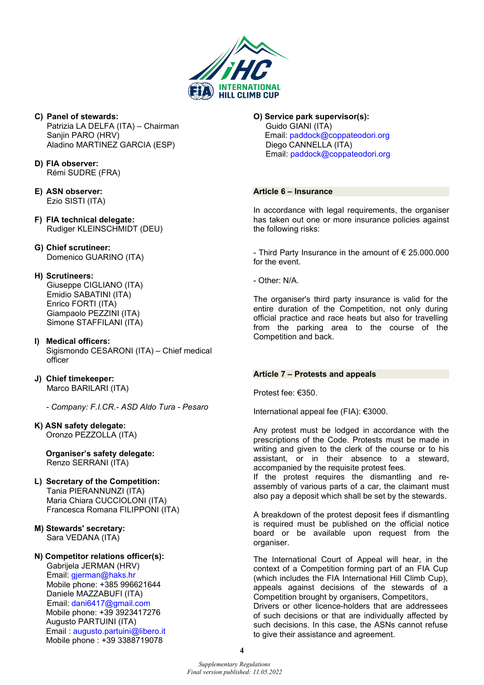

- **C) Panel of stewards:**  Patrizia LA DELFA (ITA) – Chairman Sanjin PARO (HRV) Aladino MARTINEZ GARCIA (ESP)
- **D) FIA observer:** Rémi SUDRE (FRA)
- **E) ASN observer:** Ezio SISTI (ITA)
- **F) FIA technical delegate:** Rudiger KLEINSCHMIDT (DEU)
- **G) Chief scrutineer:**  Domenico GUARINO (ITA)
- **H) Scrutineers:**
	- Giuseppe CIGLIANO (ITA) Emidio SABATINI (ITA) Enrico FORTI (ITA) Giampaolo PEZZINI (ITA) Simone STAFFILANI (ITA)
- **I) Medical officers:**  Sigismondo CESARONI (ITA) – Chief medical officer
- **J) Chief timekeeper:** Marco BARILARI (ITA)
	- *Company: F.I.CR.- ASD Aldo Tura Pesaro*

## **K) ASN safety delegate:**

Oronzo PEZZOLLA (ITA)

- **Organiser's safety delegate:**  Renzo SERRANI (ITA)
- **L) Secretary of the Competition:**  Tania PIERANNUNZI (ITA) Maria Chiara CUCCIOLONI (ITA) Francesca Romana FILIPPONI (ITA)
- **M) Stewards' secretary:**  Sara VEDANA (ITA)
- **N) Competitor relations officer(s):**  Gabrijela JERMAN (HRV) Email: gjerman@haks.hr Mobile phone: +385 996621644 Daniele MAZZABUFI (ITA) Email: [dani6417@gmail.com](mailto:dani6417@gmail.com)  Mobile phone: +39 3923417276 Augusto PARTUINI (ITA) Email : [augusto.partuini@libero.it](mailto:augusto.partuini@libero.it)  Mobile phone : +39 3388719078

#### **O) Service park supervisor(s):**

Guido GIANI (ITA) Email: paddock@coppateodori.org Diego CANNELLA (ITA) Email: [paddock@coppateodori.org](mailto:paddock@coppateodori.org) 

#### **Article 6 – Insurance**

In accordance with legal requirements, the organiser has taken out one or more insurance policies against the following risks:

- Third Party Insurance in the amount of € 25.000.000 for the event.

- Other: N/A.

The organiser's third party insurance is valid for the entire duration of the Competition, not only during official practice and race heats but also for travelling from the parking area to the course of the Competition and back.

#### **Article 7 – Protests and appeals**

Protest fee: €350.

International appeal fee (FIA): €3000.

Any protest must be lodged in accordance with the prescriptions of the Code. Protests must be made in writing and given to the clerk of the course or to his assistant, or in their absence to a steward, accompanied by the requisite protest fees.

If the protest requires the dismantling and reassembly of various parts of a car, the claimant must also pay a deposit which shall be set by the stewards.

A breakdown of the protest deposit fees if dismantling is required must be published on the official notice board or be available upon request from the organiser.

The International Court of Appeal will hear, in the context of a Competition forming part of an FIA Cup (which includes the FIA International Hill Climb Cup), appeals against decisions of the stewards of a Competition brought by organisers, Competitors,

Drivers or other licence-holders that are addressees of such decisions or that are individually affected by such decisions. In this case, the ASNs cannot refuse to give their assistance and agreement.